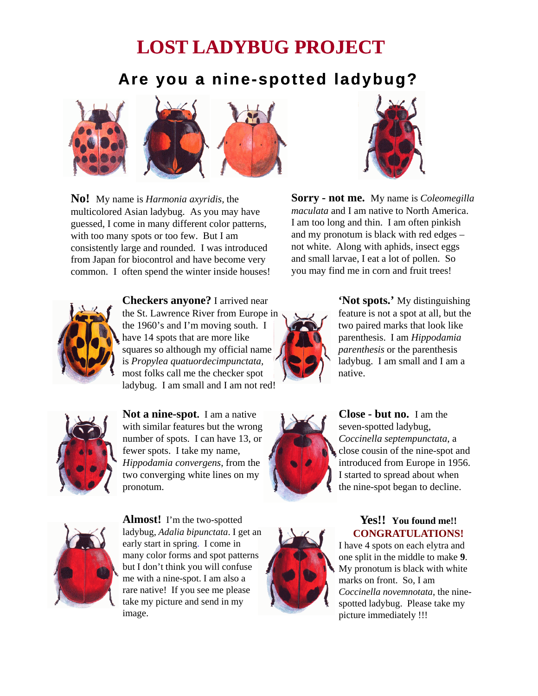# **LOST LADYBUG LADYBUG PROJECT**

## **Are you a nine nine-spotted ladybug? spotted**



**No!** My name is *Harmonia axyridis,* the multicolored Asian ladybug. As you may have guessed, I come in many different color patterns, with too many spots or too few. But I am consistently large and rounded. I was introduced from Japan for biocontrol and have become very common. I often spend the winter inside houses! you may find me in corn and fruit trees!



**Checkers anyone?** I arrived near the St. Lawrence River from Europe in the 1960's and I'm moving south. I have 14 spots that are more like squares so although my official name is *Propylea quatuordecimpunctata,* most folks call me the checker spot ladybug. I am small and I am not red!



**Not a nine-spot.** I am a native with similar features but the wrong with similar features but the number of spots. I can have 13, or fewer spots. I take my name, *Hippodamia convergens*, from the two converging white lines on my pronotum.



**Almost!** I'm the two-spotted ladybug, *Adalia bipunctata*. I get an early start in spring. I come in many color forms and spot patterns but I don't think you will confuse me with a nine-spot. I am also a rare native! If you see me please take my picture and send in my image.







### **Yes!! You found me!! CONGRATULATIONS!**

I have 4 spots on each elytra and one split in the middle to make **9**. My pronotum is black with white marks on front. So, I am *Coccinella novemnotata*, the ninespotted ladybug. Please take my picture immediately !!!

**Sorry - not me.** My name is *Coleomegilla maculata* and I am native to North America. I am too long and thin. I am often pinkish and my pronotum is black with red edges – not white. Along with aphids, insect eggs and small larvae, I eat a lot of pollen. So



**'Not spots.'** My distinguishing feature is not a spot at all, but the two paired marks that look like parenthesis. I am *Hippodamia parenthesis* or the parenthesis ladybug. I am small and I am a native.